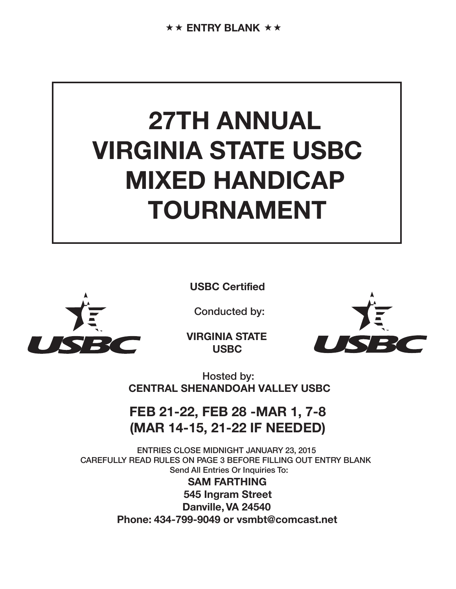# **27TH ANNUAL VIRGINIA STATE USBC MIXED HANDICAP TOURNAMENT**



**USBC Certified**

Conducted by:

**VIRGINIA STATE USBC**



Hosted by: **CENTRAL SHENANDOAH VALLEY USBC**

## **FEB 21-22, FEB 28 -MAR 1, 7-8 (MAR 14-15, 21-22 IF NEEDED)**

ENTRIES CLOSE MIDNIGHT JANUARY 23, 2015 CAREFULLY READ RULES ON PAGE 3 BEFORE FILLING OUT ENTRY BLANK Send All Entries Or Inquiries To:

> **SAM FARTHING 545 Ingram Street Danville, VA 24540 Phone: 434-799-9049 or vsmbt@comcast.net**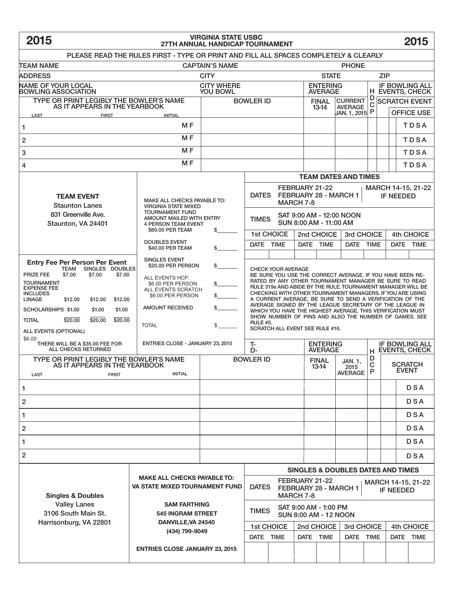## **2015 2015 VIRGINIA STATE USBC 27TH ANNUAL HANDICAP TOURNAMENT**

| PLEASE READ THE RULES FIRST - TYPE OR PRINT AND FILL ALL SPACES COMPLETELY & CLEARLY<br><b>CAPTAIN'S NAME</b><br><b>PHONE</b><br>TEAM NAME                                                                                                                                                                                                                                                        |                                                                                                                                                                                                             |                                                                                                                                                                                                                                                                                                                                                                                                                                                                                                                                                                                                                                   |                                                                                                                       |                       |                                   |                                                           |                                |                                          |                                        |            |           |  |
|---------------------------------------------------------------------------------------------------------------------------------------------------------------------------------------------------------------------------------------------------------------------------------------------------------------------------------------------------------------------------------------------------|-------------------------------------------------------------------------------------------------------------------------------------------------------------------------------------------------------------|-----------------------------------------------------------------------------------------------------------------------------------------------------------------------------------------------------------------------------------------------------------------------------------------------------------------------------------------------------------------------------------------------------------------------------------------------------------------------------------------------------------------------------------------------------------------------------------------------------------------------------------|-----------------------------------------------------------------------------------------------------------------------|-----------------------|-----------------------------------|-----------------------------------------------------------|--------------------------------|------------------------------------------|----------------------------------------|------------|-----------|--|
| <b>ADDRESS</b>                                                                                                                                                                                                                                                                                                                                                                                    | <b>CITY</b>                                                                                                                                                                                                 |                                                                                                                                                                                                                                                                                                                                                                                                                                                                                                                                                                                                                                   |                                                                                                                       |                       | <b>ZIP</b><br><b>STATE</b>        |                                                           |                                |                                          |                                        |            |           |  |
| <b>NAME OF YOUR LOCAL</b><br><b>BOWLING ASSOCIATION</b>                                                                                                                                                                                                                                                                                                                                           | <b>CITY WHERE</b><br><b>YOU BOWL</b>                                                                                                                                                                        |                                                                                                                                                                                                                                                                                                                                                                                                                                                                                                                                                                                                                                   |                                                                                                                       |                       | <b>ENTERING</b><br><b>AVERAGE</b> |                                                           |                                | <b>IF BOWLING ALL</b><br>H EVENTS, CHECK |                                        |            |           |  |
| TYPE OR PRINT LEGIBLY THE BOWLER'S NAME<br>AS IT APPEARS IN THE YEARBOOK                                                                                                                                                                                                                                                                                                                          |                                                                                                                                                                                                             | <b>BOWLER ID</b>                                                                                                                                                                                                                                                                                                                                                                                                                                                                                                                                                                                                                  |                                                                                                                       |                       |                                   | <b>CURRENT</b><br><b>FINAL</b><br><b>AVERAGE</b><br>13-14 |                                | D<br>C                                   | <b>SCRATCH EVENT</b>                   |            |           |  |
| LAST<br><b>FIRST</b>                                                                                                                                                                                                                                                                                                                                                                              |                                                                                                                                                                                                             |                                                                                                                                                                                                                                                                                                                                                                                                                                                                                                                                                                                                                                   |                                                                                                                       |                       |                                   | JAN. 1, 2015 P                                            |                                |                                          | <b>OFFICE USE</b>                      |            |           |  |
| M <sub>F</sub><br>1<br>M <sub>F</sub>                                                                                                                                                                                                                                                                                                                                                             |                                                                                                                                                                                                             |                                                                                                                                                                                                                                                                                                                                                                                                                                                                                                                                                                                                                                   |                                                                                                                       |                       |                                   |                                                           |                                |                                          |                                        |            | TDSA      |  |
| $\overline{\mathbf{c}}$                                                                                                                                                                                                                                                                                                                                                                           |                                                                                                                                                                                                             |                                                                                                                                                                                                                                                                                                                                                                                                                                                                                                                                                                                                                                   |                                                                                                                       |                       |                                   |                                                           |                                |                                          |                                        | TDSA       |           |  |
| 3                                                                                                                                                                                                                                                                                                                                                                                                 |                                                                                                                                                                                                             |                                                                                                                                                                                                                                                                                                                                                                                                                                                                                                                                                                                                                                   |                                                                                                                       |                       |                                   |                                                           | TDSA                           |                                          |                                        |            |           |  |
| M <sub>F</sub><br>4                                                                                                                                                                                                                                                                                                                                                                               |                                                                                                                                                                                                             |                                                                                                                                                                                                                                                                                                                                                                                                                                                                                                                                                                                                                                   |                                                                                                                       |                       |                                   |                                                           |                                |                                          |                                        |            | TDSA      |  |
|                                                                                                                                                                                                                                                                                                                                                                                                   |                                                                                                                                                                                                             |                                                                                                                                                                                                                                                                                                                                                                                                                                                                                                                                                                                                                                   | <b>TEAM DATES AND TIMES</b>                                                                                           |                       |                                   |                                                           |                                |                                          |                                        |            |           |  |
| <b>TEAM EVENT</b><br><b>Staunton Lanes</b>                                                                                                                                                                                                                                                                                                                                                        | MAKE ALL CHECKS PAYABLE TO:<br><b>VIRGINIA STATE MIXED</b>                                                                                                                                                  |                                                                                                                                                                                                                                                                                                                                                                                                                                                                                                                                                                                                                                   | <b>DATES</b>                                                                                                          |                       | <b>MARCH 7-8</b>                  | FEBRUARY 21-22<br>FEBRUARY 28 - MARCH 1                   |                                |                                          | MARCH 14-15, 21-22<br><b>IF NEEDED</b> |            |           |  |
| 831 Greenville Ave.<br>Staunton, VA 24401                                                                                                                                                                                                                                                                                                                                                         | <b>TOURNAMENT FUND</b><br>AMOUNT MAILED WITH ENTRY<br><b>4 PERSON TEAM EVENT</b><br>\$80.00 PER TEAM                                                                                                        | \$                                                                                                                                                                                                                                                                                                                                                                                                                                                                                                                                                                                                                                | SAT 9:00 AM - 12:00 NOON<br><b>TIMES</b><br>SUN 8:00 AM - 11:00 AM                                                    |                       |                                   |                                                           |                                |                                          |                                        |            |           |  |
|                                                                                                                                                                                                                                                                                                                                                                                                   | <b>DOUBLES EVENT</b>                                                                                                                                                                                        |                                                                                                                                                                                                                                                                                                                                                                                                                                                                                                                                                                                                                                   | 1st CHOICE                                                                                                            |                       | 2nd CHOICE                        |                                                           | 3rd CHOICE                     |                                          | 4th CHOICE                             |            |           |  |
|                                                                                                                                                                                                                                                                                                                                                                                                   | \$40.00 PER TEAM                                                                                                                                                                                            | \$                                                                                                                                                                                                                                                                                                                                                                                                                                                                                                                                                                                                                                | DATE TIME                                                                                                             |                       | <b>DATE</b>                       | <b>TIME</b>                                               | DATE TIME                      |                                          |                                        |            | DATE TIME |  |
| <b>Entry Fee Per Person Per Event</b><br>TEAM SINGLES DOUBLES<br><b>PRIZE FEE</b><br>\$7.00<br>\$7.00<br>\$7.00<br><b>TOURNAMENT</b><br><b>EXPENSE FEE</b><br><b>INCLUDES</b><br><b>LINAGE</b><br>\$12.00<br>\$12.00<br>\$12.00<br>SCHOLARSHIPS \$1.00<br>\$1.00<br>\$1.00<br>\$20.00<br>\$20.00<br>\$20.00<br><b>TOTAL</b><br>ALL EVENTS (OPTIONAL)<br>\$6.00<br>THERE WILL BE A \$35.00 FEE FOR | <b>SINGLES EVENT</b><br>\$20.00 PER PERSON<br>ALL EVENTS HCP.<br>\$6.00 PER PERSON<br>ALL EVENTS SCRATCH<br>\$6.00 PER PERSON<br><b>AMOUNT RECEIVED</b><br><b>TOTAL</b><br>ENTRIES CLOSE - JANUARY 23, 2015 | <b>CHECK YOUR AVERAGE</b><br>BE SURE YOU USE THE CORRECT AVERAGE. IF YOU HAVE BEEN RE-<br>RATED BY ANY OTHER TOURNAMENT MANAGER BE SURE TO READ<br>RULE 319e AND ABIDE BY THE RULE. TOURNAMENT MANAGER WILL BE<br>CHECKING WITH OTHER TOURNAMENT MANAGERS. IF YOU ARE USING<br>A CURRENT AVERAGE, BE SURE TO SEND A VERIFICATION OF THE<br>AVERAGE SIGNED BY THE LEAGUE SECRETARY OF THE LEAGUE IN<br>WHICH YOU HAVE THE HIGHEST AVERAGE. THIS VERIFICATION MUST<br>SHOW NUMBER OF PINS AND ALSO THE NUMBER OF GAMES. SEE<br><b>RULE #5.</b><br>SCRATCH ALL EVENT SEE RULE #16.<br>T-<br><b>IF BOWLING ALL</b><br><b>ENTERING</b> |                                                                                                                       |                       |                                   |                                                           |                                |                                          |                                        |            |           |  |
| ALL CHECKS RETURNED                                                                                                                                                                                                                                                                                                                                                                               |                                                                                                                                                                                                             | D-<br><b>BOWLER ID</b>                                                                                                                                                                                                                                                                                                                                                                                                                                                                                                                                                                                                            |                                                                                                                       |                       | <b>AVERAGE</b>                    |                                                           | н<br>D                         |                                          | <b>EVENTS, CHECK</b>                   |            |           |  |
| TYPE OR PRINT LEGIBLY THE BOWLER'S NAME<br>AS IT APPEARS IN THE YEARBOOK<br>LAST<br><b>FIRST</b>                                                                                                                                                                                                                                                                                                  |                                                                                                                                                                                                             |                                                                                                                                                                                                                                                                                                                                                                                                                                                                                                                                                                                                                                   |                                                                                                                       | <b>FINAL</b><br>13-14 | JAN. 1.<br>2015<br><b>AVERAGE</b> | $\mathbf C$<br>P                                          | <b>SCRATCH</b><br><b>EVENT</b> |                                          |                                        |            |           |  |
| 1                                                                                                                                                                                                                                                                                                                                                                                                 |                                                                                                                                                                                                             |                                                                                                                                                                                                                                                                                                                                                                                                                                                                                                                                                                                                                                   |                                                                                                                       |                       |                                   |                                                           |                                |                                          |                                        | <b>DSA</b> |           |  |
| 2                                                                                                                                                                                                                                                                                                                                                                                                 |                                                                                                                                                                                                             |                                                                                                                                                                                                                                                                                                                                                                                                                                                                                                                                                                                                                                   |                                                                                                                       |                       |                                   |                                                           |                                | <b>DSA</b>                               |                                        |            |           |  |
| 1                                                                                                                                                                                                                                                                                                                                                                                                 |                                                                                                                                                                                                             |                                                                                                                                                                                                                                                                                                                                                                                                                                                                                                                                                                                                                                   |                                                                                                                       |                       |                                   |                                                           |                                |                                          |                                        | DSA        |           |  |
| 2                                                                                                                                                                                                                                                                                                                                                                                                 |                                                                                                                                                                                                             |                                                                                                                                                                                                                                                                                                                                                                                                                                                                                                                                                                                                                                   |                                                                                                                       |                       |                                   |                                                           |                                |                                          |                                        | <b>DSA</b> |           |  |
| 1                                                                                                                                                                                                                                                                                                                                                                                                 |                                                                                                                                                                                                             |                                                                                                                                                                                                                                                                                                                                                                                                                                                                                                                                                                                                                                   |                                                                                                                       |                       |                                   |                                                           |                                |                                          |                                        | DSA        |           |  |
| 2                                                                                                                                                                                                                                                                                                                                                                                                 |                                                                                                                                                                                                             |                                                                                                                                                                                                                                                                                                                                                                                                                                                                                                                                                                                                                                   |                                                                                                                       |                       |                                   |                                                           |                                |                                          | <b>DSA</b>                             |            |           |  |
|                                                                                                                                                                                                                                                                                                                                                                                                   |                                                                                                                                                                                                             |                                                                                                                                                                                                                                                                                                                                                                                                                                                                                                                                                                                                                                   | <b>SINGLES &amp; DOUBLES DATES AND TIMES</b>                                                                          |                       |                                   |                                                           |                                |                                          |                                        |            |           |  |
| <b>MAKE ALL CHECKS PAYABLE TO:</b><br><b>VA STATE MIXED TOURNAMENT FUND</b><br><b>Singles &amp; Doubles</b>                                                                                                                                                                                                                                                                                       |                                                                                                                                                                                                             |                                                                                                                                                                                                                                                                                                                                                                                                                                                                                                                                                                                                                                   | FEBRUARY 21-22<br>MARCH 14-15, 21-22<br><b>DATES</b><br>FEBRUARY 28 - MARCH 1<br><b>IF NEEDED</b><br><b>MARCH 7-8</b> |                       |                                   |                                                           |                                |                                          |                                        |            |           |  |
| <b>Valley Lanes</b><br>3106 South Main St.                                                                                                                                                                                                                                                                                                                                                        | <b>SAM FARTHING</b><br><b>545 INGRAM STREET</b>                                                                                                                                                             |                                                                                                                                                                                                                                                                                                                                                                                                                                                                                                                                                                                                                                   | SAT 9:00 AM - 1:00 PM<br><b>TIMES</b><br><b>SUN 8:00 AM - 12 NOON</b>                                                 |                       |                                   |                                                           |                                |                                          |                                        |            |           |  |
| Harrisonburg, VA 22801<br>DANVILLE, VA 24540<br>(434) 799-9049<br><b>ENTRIES CLOSE JANUARY 23, 2015</b>                                                                                                                                                                                                                                                                                           |                                                                                                                                                                                                             |                                                                                                                                                                                                                                                                                                                                                                                                                                                                                                                                                                                                                                   | <b>1st CHOICE</b>                                                                                                     |                       |                                   | 2nd CHOICE                                                |                                | 3rd CHOICE                               |                                        | 4th CHOICE |           |  |
|                                                                                                                                                                                                                                                                                                                                                                                                   |                                                                                                                                                                                                             |                                                                                                                                                                                                                                                                                                                                                                                                                                                                                                                                                                                                                                   | DATE TIME                                                                                                             |                       |                                   | DATE TIME                                                 |                                | DATE TIME                                |                                        | DATE TIME  |           |  |
|                                                                                                                                                                                                                                                                                                                                                                                                   |                                                                                                                                                                                                             |                                                                                                                                                                                                                                                                                                                                                                                                                                                                                                                                                                                                                                   |                                                                                                                       |                       |                                   |                                                           |                                |                                          |                                        |            |           |  |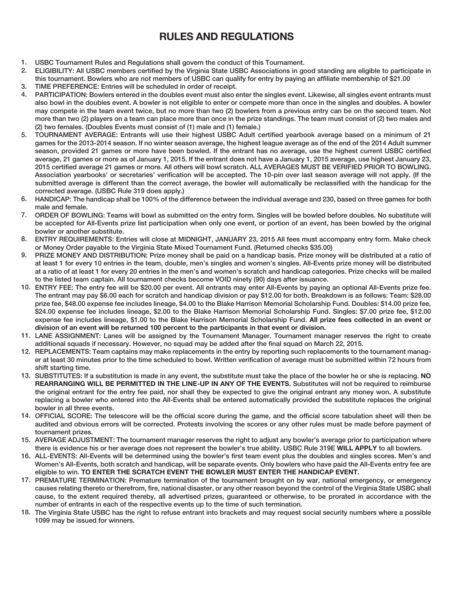### **RULES AND REGULATIONS**

- USBC Tournament Rules and Regulations shall govern the conduct of this Tournament. 1.
- ELIGIBILITY: All USBC members certified by the Virginia State USBC Associations in good standing are eligible to participate in this tournament. Bowlers who are not members of USBC can qualify for entry by paying an affiliate membership of \$21.00 2.
- TIME PREFERENCE: Entries will be scheduled in order of receipt. 3.
- PARTICIPATION: Bowlers entered in the doubles event must also enter the singles event. Likewise, all singles event entrants must also bowl in the doubles event. A bowler is not eligible to enter or compete more than once in the singles and doubles. A bowler may compete in the team event twice, but no more than two (2) bowlers from a previous entry can be on the second team. Not more than two (2) players on a team can place more than once in the prize standings. The team must consist of (2) two males and (2) two females. (Doubles Events must consist of (1) male and (1) female.) 4.
- TOURNAMENT AVERAGE: Entrants will use their highest USBC Adult certified yearbook average based on a minimum of 21 games for the 2013-2014 season. If no winter season average, the highest league average as of the end of the 2014 Adult summer season, provided 21 games or more have been bowled. If the entrant has no average, use the highest current USBC certified average, 21 games or more as of January 1, 2015. If the entrant does not have a January 1, 2015 average, use highest January 23, 2015 certified average 21 games or more. All others will bowl scratch. ALL AVERAGES MUST BE VERIFIED PRIOR TO BOWLING. Association yearbooks' or secretaries' verification will be accepted. The 10-pin over last season average will not apply. (If the submitted average is different than the correct average, the bowler will automatically be reclassified with the handicap for the corrected average. (USBC Rule 319 does apply.) 5.
- HANDICAP: The handicap shall be 100% of the difference between the individual average and 230, based on three games for both male and female. 6.
- ORDER OF BOWLING: Teams will bowl as submitted on the entry form. Singles will be bowled before doubles. No substitute will 7. be accepted for All-Events prize list participation when only one event, or portion of an event, has been bowled by the original bowler or another substitute.
- ENTRY REQUIREMENTS: Entries will close at MIDNIGHT, JANUARY 23, 2015 All fees must accompany entry form. Make check or Money Order payable to the Virginia State Mixed Tournament Fund. (Returned checks \$35.00) 8.
- PRIZE MONEY AND DISTRIBUTION: Prize money shall be paid on a handicap basis. Prize money will be distributed at a ratio of at least 1 for every 10 entries in the team, double, men's singles and women's singles. All-Events prize money will be distributed at a ratio of at least 1 for every 20 entries in the men's and women's scratch and handicap categories. Prize checks will be mailed to the listed team captain. All tournament checks become VOID ninety (90) days after issuance. 9.
- 10. ENTRY FEE: The entry fee will be \$20.00 per event. All entrants may enter All-Events by paying an optional All-Events prize fee. The entrant may pay \$6.00 each for scratch and handicap division or pay \$12.00 for both. Breakdown is as follows: Team: \$28.00 prize fee, \$48.00 expense fee includes lineage, \$4.00 to the Blake Harrison Memorial Scholarship Fund. Doubles: \$14.00 prize fee, \$24.00 expense fee includes lineage, \$2.00 to the Blake Harrison Memorial Scholarship Fund. Singles: \$7.00 prize fee, \$12.00 expense fee includes lineage, \$1.00 to the Blake Harrison Memorial Scholarship Fund. **All prize fees collected in an event or division of an event will be returned 100 percent to the participants in that event or division.**
- 11. LANE ASSIGNMENT: Lanes will be assigned by the Tournament Manager. Tournament manager reserves the right to create additional squads if necessary. However, no squad may be added after the final squad on March 22, 2015.
- 12. REPLACEMENTS: Team captains may make replacements in the entry by reporting such replacements to the tournament manager at least 30 minutes prior to the time scheduled to bowl. Written verification of average must be submitted within 72 hours from shift starting time.
- 13. SUBSTITUTES: If a substitution is made in any event, the substitute must take the place of the bowler he or she is replacing. NO **REARRANGING WILL BE PERMITTED IN THE LINE-UP IN ANY OF THE EVENTS.** Substitutes will not be required to reimburse the original entrant for the entry fee paid, nor shall they be expected to give the original entrant any money won. A substitute replacing a bowler who entered into the All-Events shall be entered automatically provided the substitute replaces the original bowler in all three events.
- OFFICIAL SCORE: The telescore will be the official score during the game, and the official score tabulation sheet will then be 14. audited and obvious errors will be corrected. Protests involving the scores or any other rules must be made before payment of tournament prizes.
- 15. AVERAGE ADJUSTMENT: The tournament manager reserves the right to adjust any bowler's average prior to participation where there is evidence his or her average does not represent the bowler's true ability. USBC Rule 319E **WILL APPLY** to all bowlers.
- 16. ALL-EVENTS: All-Events will be determined using the bowler's first team event plus the doubles and singles scores. Men's and Women's All-Events, both scratch and handicap, will be separate events. Only bowlers who have paid the All-Events entry fee are eligible to win. **TO ENTER THE SCRATCH EVENT THE BOWLER MUST ENTER THE HANDICAP EVENT.**
- 17. PREMATURE TERMINATION: Premature termination of the tournament brought on by war, national emergency, or emergency causes relating thereto or therefrom, fire, national disaster, or any other reason beyond the control of the Virginia State USBC shall cause, to the extent required thereby, all advertised prizes, guaranteed or otherwise, to be prorated in accordance with the number of entrants in each of the respective events up to the time of such termination.
- 18. The Virginia State USBC has the right to refuse entrant into brackets and may request social security numbers where a possible 1099 may be issued for winners.